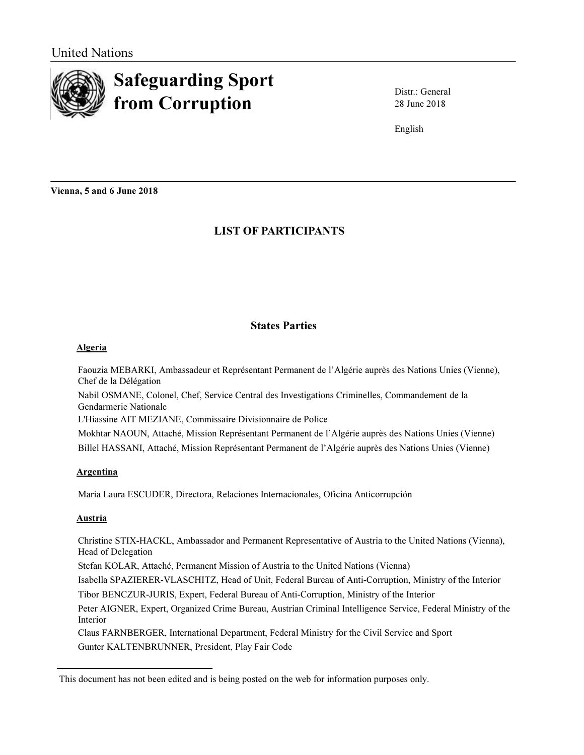

# Safeguarding Sport from Corruption

28 June 2018 Distr.: General

English

Vienna, 5 and 6 June 2018

# LIST OF PARTICIPANTS

# States Parties

# Algeria

Faouzia MEBARKI, Ambassadeur et Représentant Permanent de l'Algérie auprès des Nations Unies (Vienne), Chef de la Délégation

Nabil OSMANE, Colonel, Chef, Service Central des Investigations Criminelles, Commandement de la Gendarmerie Nationale

L'Hiassine AIT MEZIANE, Commissaire Divisionnaire de Police

Mokhtar NAOUN, Attaché, Mission Représentant Permanent de l'Algérie auprès des Nations Unies (Vienne) Billel HASSANI, Attaché, Mission Représentant Permanent de l'Algérie auprès des Nations Unies (Vienne)

# **Argentina**

Maria Laura ESCUDER, Directora, Relaciones Internacionales, Oficina Anticorrupción

# **Austria**

Christine STIX-HACKL, Ambassador and Permanent Representative of Austria to the United Nations (Vienna), Head of Delegation

Stefan KOLAR, Attaché, Permanent Mission of Austria to the United Nations (Vienna)

Isabella SPAZIERER-VLASCHITZ, Head of Unit, Federal Bureau of Anti-Corruption, Ministry of the Interior Tibor BENCZUR-JURIS, Expert, Federal Bureau of Anti-Corruption, Ministry of the Interior

Peter AIGNER, Expert, Organized Crime Bureau, Austrian Criminal Intelligence Service, Federal Ministry of the Interior

Claus FARNBERGER, International Department, Federal Ministry for the Civil Service and Sport Gunter KALTENBRUNNER, President, Play Fair Code

This document has not been edited and is being posted on the web for information purposes only.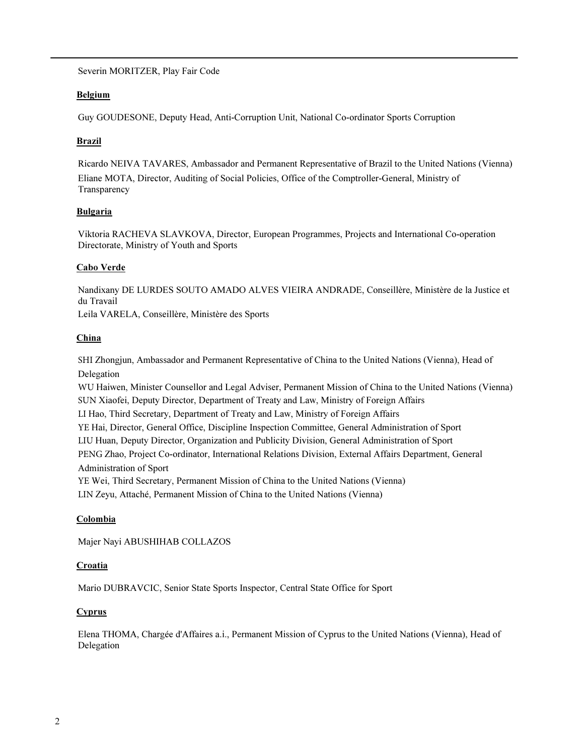Severin MORITZER, Play Fair Code

# Belgium

Guy GOUDESONE, Deputy Head, Anti-Corruption Unit, National Co-ordinator Sports Corruption

# **Brazil**

Ricardo NEIVA TAVARES, Ambassador and Permanent Representative of Brazil to the United Nations (Vienna) Eliane MOTA, Director, Auditing of Social Policies, Office of the Comptroller-General, Ministry of **Transparency** 

# Bulgaria

Viktoria RACHEVA SLAVKOVA, Director, European Programmes, Projects and International Co-operation Directorate, Ministry of Youth and Sports

# Cabo Verde

Nandixany DE LURDES SOUTO AMADO ALVES VIEIRA ANDRADE, Conseillère, Ministère de la Justice et du Travail Leila VARELA, Conseillère, Ministère des Sports

China

SHI Zhongjun, Ambassador and Permanent Representative of China to the United Nations (Vienna), Head of Delegation WU Haiwen, Minister Counsellor and Legal Adviser, Permanent Mission of China to the United Nations (Vienna) SUN Xiaofei, Deputy Director, Department of Treaty and Law, Ministry of Foreign Affairs

LI Hao, Third Secretary, Department of Treaty and Law, Ministry of Foreign Affairs

YE Hai, Director, General Office, Discipline Inspection Committee, General Administration of Sport

LIU Huan, Deputy Director, Organization and Publicity Division, General Administration of Sport

PENG Zhao, Project Co-ordinator, International Relations Division, External Affairs Department, General Administration of Sport

YE Wei, Third Secretary, Permanent Mission of China to the United Nations (Vienna)

LIN Zeyu, Attaché, Permanent Mission of China to the United Nations (Vienna)

# **Colombia**

Majer Nayi ABUSHIHAB COLLAZOS

### **Croatia**

Mario DUBRAVCIC, Senior State Sports Inspector, Central State Office for Sport

# **Cyprus**

Elena THOMA, Chargée d'Affaires a.i., Permanent Mission of Cyprus to the United Nations (Vienna), Head of Delegation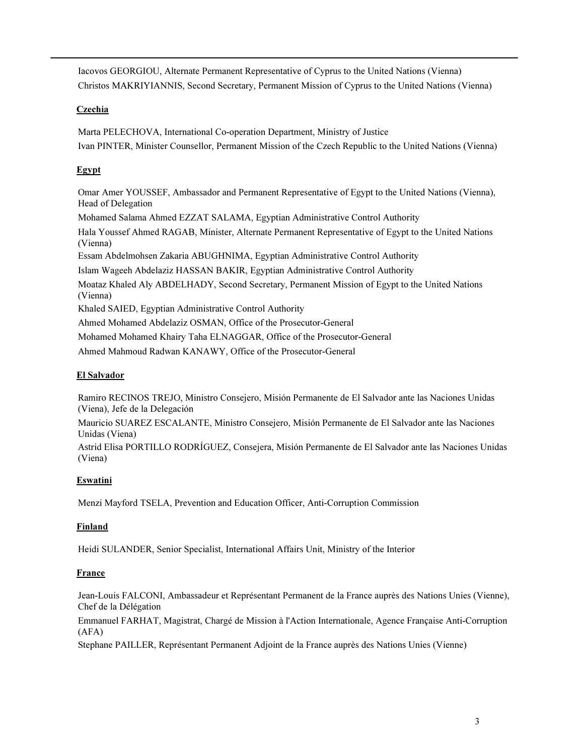Iacovos GEORGIOU, Alternate Permanent Representative of Cyprus to the United Nations (Vienna) Christos MAKRIYIANNIS, Second Secretary, Permanent Mission of Cyprus to the United Nations (Vienna)

# **Czechia**

Marta PELECHOVA, International Co-operation Department, Ministry of Justice Ivan PINTER, Minister Counsellor, Permanent Mission of the Czech Republic to the United Nations (Vienna)

# **Egypt**

Omar Amer YOUSSEF, Ambassador and Permanent Representative of Egypt to the United Nations (Vienna), Head of Delegation

Mohamed Salama Ahmed EZZAT SALAMA, Egyptian Administrative Control Authority

Hala Youssef Ahmed RAGAB, Minister, Alternate Permanent Representative of Egypt to the United Nations (Vienna)

Essam Abdelmohsen Zakaria ABUGHNIMA, Egyptian Administrative Control Authority

Islam Wageeh Abdelaziz HASSAN BAKIR, Egyptian Administrative Control Authority

Moataz Khaled Aly ABDELHADY, Second Secretary, Permanent Mission of Egypt to the United Nations (Vienna)

Khaled SAIED, Egyptian Administrative Control Authority

Ahmed Mohamed Abdelaziz OSMAN, Office of the Prosecutor-General

Mohamed Mohamed Khairy Taha ELNAGGAR, Office of the Prosecutor-General

Ahmed Mahmoud Radwan KANAWY, Office of the Prosecutor-General

# El Salvador

Ramiro RECINOS TREJO, Ministro Consejero, Misión Permanente de El Salvador ante las Naciones Unidas (Viena), Jefe de la Delegación

Mauricio SUAREZ ESCALANTE, Ministro Consejero, Misión Permanente de El Salvador ante las Naciones Unidas (Viena)

Astrid Elisa PORTILLO RODRÍGUEZ, Consejera, Misión Permanente de El Salvador ante las Naciones Unidas (Viena)

# Eswatini

Menzi Mayford TSELA, Prevention and Education Officer, Anti-Corruption Commission

# Finland

Heidi SULANDER, Senior Specialist, International Affairs Unit, Ministry of the Interior

# France

Jean-Louis FALCONI, Ambassadeur et Représentant Permanent de la France auprès des Nations Unies (Vienne), Chef de la Délégation

Emmanuel FARHAT, Magistrat, Chargé de Mission à l'Action Internationale, Agence Française Anti-Corruption (AFA)

Stephane PAILLER, Représentant Permanent Adjoint de la France auprès des Nations Unies (Vienne)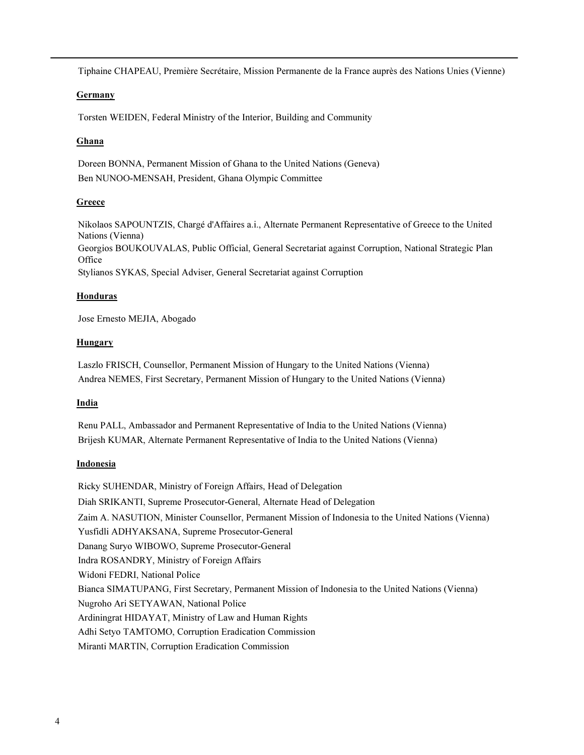Tiphaine CHAPEAU, Première Secrétaire, Mission Permanente de la France auprès des Nations Unies (Vienne)

### **Germany**

Torsten WEIDEN, Federal Ministry of the Interior, Building and Community

# **Ghana**

Doreen BONNA, Permanent Mission of Ghana to the United Nations (Geneva) Ben NUNOO-MENSAH, President, Ghana Olympic Committee

# **Greece**

Nikolaos SAPOUNTZIS, Chargé d'Affaires a.i., Alternate Permanent Representative of Greece to the United Nations (Vienna) Georgios BOUKOUVALAS, Public Official, General Secretariat against Corruption, National Strategic Plan **Office** Stylianos SYKAS, Special Adviser, General Secretariat against Corruption

# Honduras

Jose Ernesto MEJIA, Abogado

### **Hungary**

Laszlo FRISCH, Counsellor, Permanent Mission of Hungary to the United Nations (Vienna) Andrea NEMES, First Secretary, Permanent Mission of Hungary to the United Nations (Vienna)

# **India**

Renu PALL, Ambassador and Permanent Representative of India to the United Nations (Vienna) Brijesh KUMAR, Alternate Permanent Representative of India to the United Nations (Vienna)

### **Indonesia**

Ricky SUHENDAR, Ministry of Foreign Affairs, Head of Delegation Diah SRIKANTI, Supreme Prosecutor-General, Alternate Head of Delegation Zaim A. NASUTION, Minister Counsellor, Permanent Mission of Indonesia to the United Nations (Vienna) Yusfidli ADHYAKSANA, Supreme Prosecutor-General Danang Suryo WIBOWO, Supreme Prosecutor-General Indra ROSANDRY, Ministry of Foreign Affairs Widoni FEDRI, National Police Bianca SIMATUPANG, First Secretary, Permanent Mission of Indonesia to the United Nations (Vienna) Nugroho Ari SETYAWAN, National Police Ardiningrat HIDAYAT, Ministry of Law and Human Rights Adhi Setyo TAMTOMO, Corruption Eradication Commission Miranti MARTIN, Corruption Eradication Commission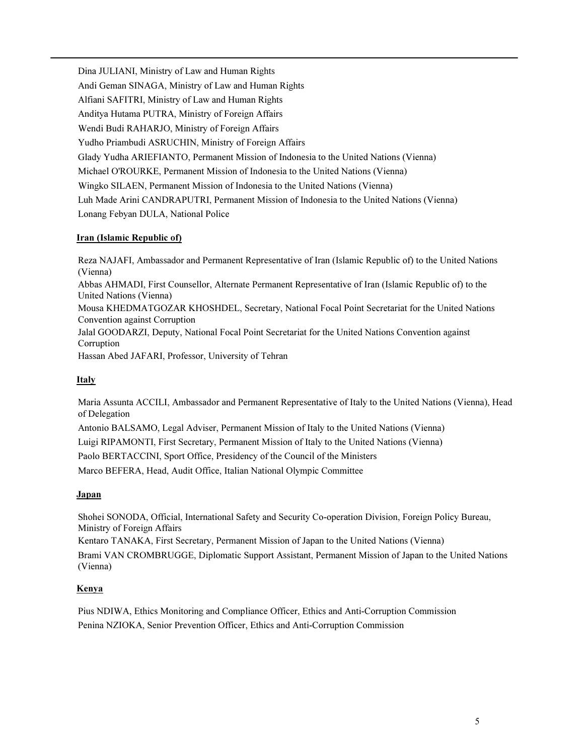Dina JULIANI, Ministry of Law and Human Rights Andi Geman SINAGA, Ministry of Law and Human Rights Alfiani SAFITRI, Ministry of Law and Human Rights Anditya Hutama PUTRA, Ministry of Foreign Affairs Wendi Budi RAHARJO, Ministry of Foreign Affairs Yudho Priambudi ASRUCHIN, Ministry of Foreign Affairs Glady Yudha ARIEFIANTO, Permanent Mission of Indonesia to the United Nations (Vienna) Michael O'ROURKE, Permanent Mission of Indonesia to the United Nations (Vienna) Wingko SILAEN, Permanent Mission of Indonesia to the United Nations (Vienna) Luh Made Arini CANDRAPUTRI, Permanent Mission of Indonesia to the United Nations (Vienna) Lonang Febyan DULA, National Police

# Iran (Islamic Republic of)

Reza NAJAFI, Ambassador and Permanent Representative of Iran (Islamic Republic of) to the United Nations (Vienna) Abbas AHMADI, First Counsellor, Alternate Permanent Representative of Iran (Islamic Republic of) to the United Nations (Vienna) Mousa KHEDMATGOZAR KHOSHDEL, Secretary, National Focal Point Secretariat for the United Nations Convention against Corruption Jalal GOODARZI, Deputy, National Focal Point Secretariat for the United Nations Convention against Corruption Hassan Abed JAFARI, Professor, University of Tehran

### Italy

Maria Assunta ACCILI, Ambassador and Permanent Representative of Italy to the United Nations (Vienna), Head of Delegation

Antonio BALSAMO, Legal Adviser, Permanent Mission of Italy to the United Nations (Vienna)

Luigi RIPAMONTI, First Secretary, Permanent Mission of Italy to the United Nations (Vienna)

Paolo BERTACCINI, Sport Office, Presidency of the Council of the Ministers

Marco BEFERA, Head, Audit Office, Italian National Olympic Committee

### Japan

Shohei SONODA, Official, International Safety and Security Co-operation Division, Foreign Policy Bureau, Ministry of Foreign Affairs

Kentaro TANAKA, First Secretary, Permanent Mission of Japan to the United Nations (Vienna) Brami VAN CROMBRUGGE, Diplomatic Support Assistant, Permanent Mission of Japan to the United Nations (Vienna)

### Kenya

Pius NDIWA, Ethics Monitoring and Compliance Officer, Ethics and Anti-Corruption Commission Penina NZIOKA, Senior Prevention Officer, Ethics and Anti-Corruption Commission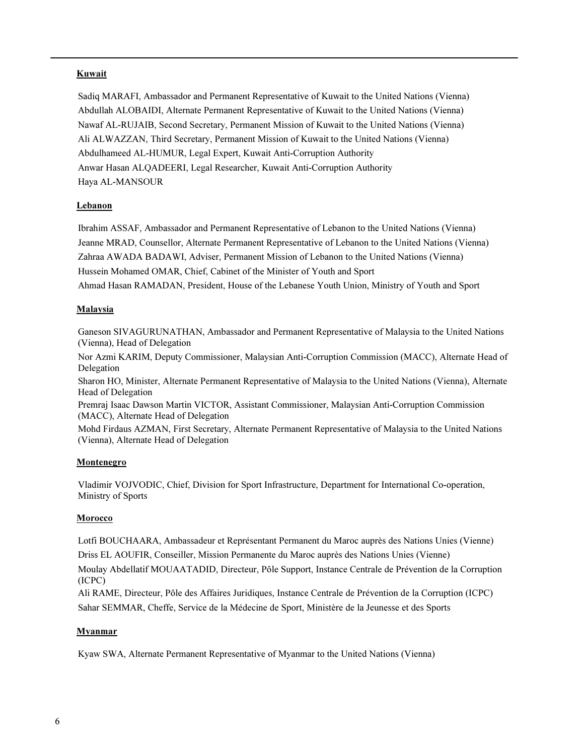# **Kuwait**

Sadiq MARAFI, Ambassador and Permanent Representative of Kuwait to the United Nations (Vienna) Abdullah ALOBAIDI, Alternate Permanent Representative of Kuwait to the United Nations (Vienna) Nawaf AL-RUJAIB, Second Secretary, Permanent Mission of Kuwait to the United Nations (Vienna) Ali ALWAZZAN, Third Secretary, Permanent Mission of Kuwait to the United Nations (Vienna) Abdulhameed AL-HUMUR, Legal Expert, Kuwait Anti-Corruption Authority Anwar Hasan ALQADEERI, Legal Researcher, Kuwait Anti-Corruption Authority Haya AL-MANSOUR

# Lebanon

Ibrahim ASSAF, Ambassador and Permanent Representative of Lebanon to the United Nations (Vienna) Jeanne MRAD, Counsellor, Alternate Permanent Representative of Lebanon to the United Nations (Vienna) Zahraa AWADA BADAWI, Adviser, Permanent Mission of Lebanon to the United Nations (Vienna) Hussein Mohamed OMAR, Chief, Cabinet of the Minister of Youth and Sport Ahmad Hasan RAMADAN, President, House of the Lebanese Youth Union, Ministry of Youth and Sport

# Malaysia

Ganeson SIVAGURUNATHAN, Ambassador and Permanent Representative of Malaysia to the United Nations (Vienna), Head of Delegation

Nor Azmi KARIM, Deputy Commissioner, Malaysian Anti-Corruption Commission (MACC), Alternate Head of Delegation

Sharon HO, Minister, Alternate Permanent Representative of Malaysia to the United Nations (Vienna), Alternate Head of Delegation

Premraj Isaac Dawson Martin VICTOR, Assistant Commissioner, Malaysian Anti-Corruption Commission (MACC), Alternate Head of Delegation

Mohd Firdaus AZMAN, First Secretary, Alternate Permanent Representative of Malaysia to the United Nations (Vienna), Alternate Head of Delegation

### Montenegro

Vladimir VOJVODIC, Chief, Division for Sport Infrastructure, Department for International Co-operation, Ministry of Sports

### **Morocco**

Lotfi BOUCHAARA, Ambassadeur et Représentant Permanent du Maroc auprès des Nations Unies (Vienne) Driss EL AOUFIR, Conseiller, Mission Permanente du Maroc auprès des Nations Unies (Vienne)

Moulay Abdellatif MOUAATADID, Directeur, Pôle Support, Instance Centrale de Prévention de la Corruption (ICPC)

Ali RAME, Directeur, Pôle des Affaires Juridiques, Instance Centrale de Prévention de la Corruption (ICPC) Sahar SEMMAR, Cheffe, Service de la Médecine de Sport, Ministère de la Jeunesse et des Sports

### Myanmar

Kyaw SWA, Alternate Permanent Representative of Myanmar to the United Nations (Vienna)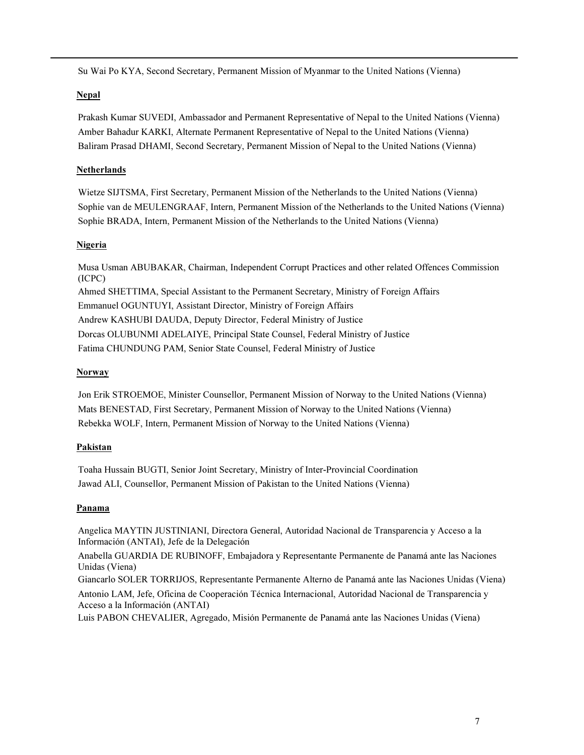Su Wai Po KYA, Second Secretary, Permanent Mission of Myanmar to the United Nations (Vienna)

# **Nepal**

Prakash Kumar SUVEDI, Ambassador and Permanent Representative of Nepal to the United Nations (Vienna) Amber Bahadur KARKI, Alternate Permanent Representative of Nepal to the United Nations (Vienna) Baliram Prasad DHAMI, Second Secretary, Permanent Mission of Nepal to the United Nations (Vienna)

# Netherlands

Wietze SIJTSMA, First Secretary, Permanent Mission of the Netherlands to the United Nations (Vienna) Sophie van de MEULENGRAAF, Intern, Permanent Mission of the Netherlands to the United Nations (Vienna) Sophie BRADA, Intern, Permanent Mission of the Netherlands to the United Nations (Vienna)

# **Nigeria**

Musa Usman ABUBAKAR, Chairman, Independent Corrupt Practices and other related Offences Commission (ICPC) Ahmed SHETTIMA, Special Assistant to the Permanent Secretary, Ministry of Foreign Affairs Emmanuel OGUNTUYI, Assistant Director, Ministry of Foreign Affairs Andrew KASHUBI DAUDA, Deputy Director, Federal Ministry of Justice Dorcas OLUBUNMI ADELAIYE, Principal State Counsel, Federal Ministry of Justice Fatima CHUNDUNG PAM, Senior State Counsel, Federal Ministry of Justice

# **Norway**

Jon Erik STROEMOE, Minister Counsellor, Permanent Mission of Norway to the United Nations (Vienna) Mats BENESTAD, First Secretary, Permanent Mission of Norway to the United Nations (Vienna) Rebekka WOLF, Intern, Permanent Mission of Norway to the United Nations (Vienna)

# Pakistan

Toaha Hussain BUGTI, Senior Joint Secretary, Ministry of Inter-Provincial Coordination Jawad ALI, Counsellor, Permanent Mission of Pakistan to the United Nations (Vienna)

# Panama

Angelica MAYTIN JUSTINIANI, Directora General, Autoridad Nacional de Transparencia y Acceso a la Información (ANTAI), Jefe de la Delegación

Anabella GUARDIA DE RUBINOFF, Embajadora y Representante Permanente de Panamá ante las Naciones Unidas (Viena)

Giancarlo SOLER TORRIJOS, Representante Permanente Alterno de Panamá ante las Naciones Unidas (Viena) Antonio LAM, Jefe, Oficina de Cooperación Técnica Internacional, Autoridad Nacional de Transparencia y Acceso a la Información (ANTAI)

Luis PABON CHEVALIER, Agregado, Misión Permanente de Panamá ante las Naciones Unidas (Viena)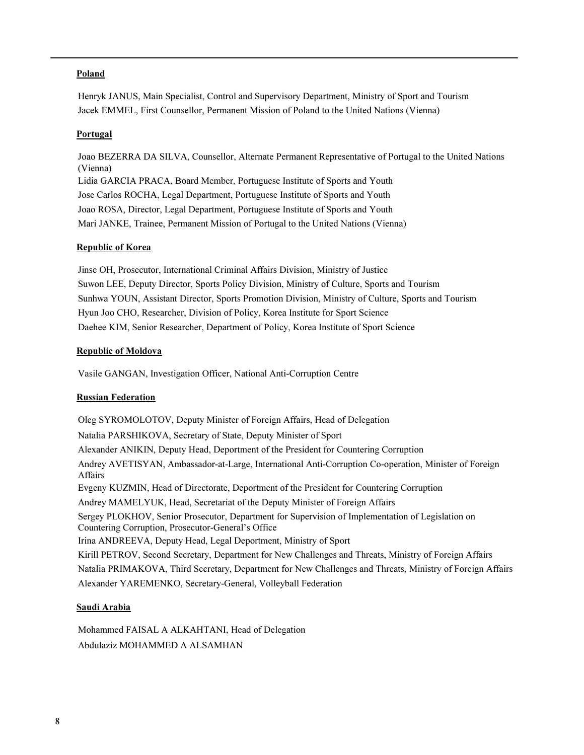# Poland

Henryk JANUS, Main Specialist, Control and Supervisory Department, Ministry of Sport and Tourism Jacek EMMEL, First Counsellor, Permanent Mission of Poland to the United Nations (Vienna)

### Portugal

Joao BEZERRA DA SILVA, Counsellor, Alternate Permanent Representative of Portugal to the United Nations (Vienna) Lidia GARCIA PRACA, Board Member, Portuguese Institute of Sports and Youth Jose Carlos ROCHA, Legal Department, Portuguese Institute of Sports and Youth Joao ROSA, Director, Legal Department, Portuguese Institute of Sports and Youth Mari JANKE, Trainee, Permanent Mission of Portugal to the United Nations (Vienna)

#### Republic of Korea

Jinse OH, Prosecutor, International Criminal Affairs Division, Ministry of Justice Suwon LEE, Deputy Director, Sports Policy Division, Ministry of Culture, Sports and Tourism Sunhwa YOUN, Assistant Director, Sports Promotion Division, Ministry of Culture, Sports and Tourism Hyun Joo CHO, Researcher, Division of Policy, Korea Institute for Sport Science Daehee KIM, Senior Researcher, Department of Policy, Korea Institute of Sport Science

### Republic of Moldova

Vasile GANGAN, Investigation Officer, National Anti-Corruption Centre

### Russian Federation

Oleg SYROMOLOTOV, Deputy Minister of Foreign Affairs, Head of Delegation Natalia PARSHIKOVA, Secretary of State, Deputy Minister of Sport Alexander ANIKIN, Deputy Head, Deportment of the President for Countering Corruption Andrey AVETISYAN, Ambassador-at-Large, International Anti-Corruption Co-operation, Minister of Foreign Affairs Evgeny KUZMIN, Head of Directorate, Deportment of the President for Countering Corruption Andrey MAMELYUK, Head, Secretariat of the Deputy Minister of Foreign Affairs Sergey PLOKHOV, Senior Prosecutor, Department for Supervision of Implementation of Legislation on Countering Corruption, Prosecutor-General's Office Irina ANDREEVA, Deputy Head, Legal Deportment, Ministry of Sport Kirill PETROV, Second Secretary, Department for New Challenges and Threats, Ministry of Foreign Affairs Natalia PRIMAKOVA, Third Secretary, Department for New Challenges and Threats, Ministry of Foreign Affairs Alexander YAREMENKO, Secretary-General, Volleyball Federation

#### Saudi Arabia

Mohammed FAISAL A ALKAHTANI, Head of Delegation Abdulaziz MOHAMMED A ALSAMHAN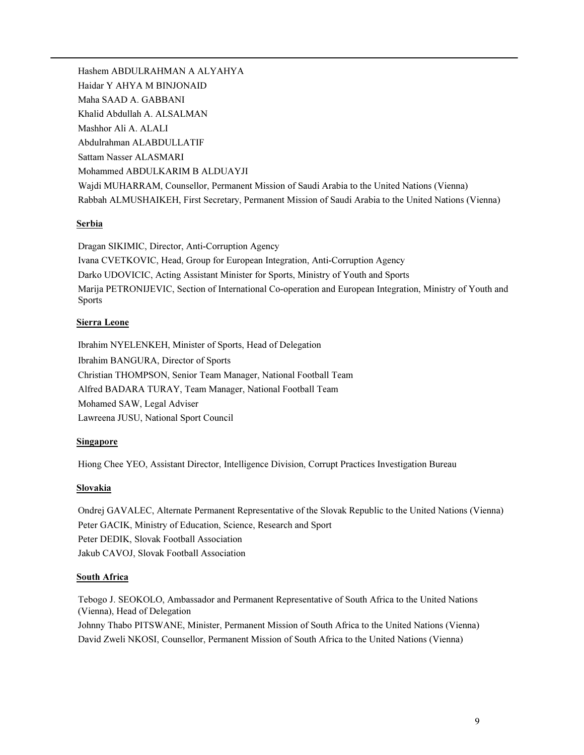Hashem ABDULRAHMAN A ALYAHYA Haidar Y AHYA M BINJONAID Maha SAAD A. GABBANI Khalid Abdullah A. ALSALMAN Mashhor Ali A. ALALI Abdulrahman ALABDULLATIF Sattam Nasser ALASMARI Mohammed ABDULKARIM B ALDUAYJI Wajdi MUHARRAM, Counsellor, Permanent Mission of Saudi Arabia to the United Nations (Vienna) Rabbah ALMUSHAIKEH, First Secretary, Permanent Mission of Saudi Arabia to the United Nations (Vienna)

### Serbia

Dragan SIKIMIC, Director, Anti-Corruption Agency Ivana CVETKOVIC, Head, Group for European Integration, Anti-Corruption Agency Darko UDOVICIC, Acting Assistant Minister for Sports, Ministry of Youth and Sports Marija PETRONIJEVIC, Section of International Co-operation and European Integration, Ministry of Youth and Sports

# Sierra Leone

Ibrahim NYELENKEH, Minister of Sports, Head of Delegation Ibrahim BANGURA, Director of Sports Christian THOMPSON, Senior Team Manager, National Football Team Alfred BADARA TURAY, Team Manager, National Football Team Mohamed SAW, Legal Adviser Lawreena JUSU, National Sport Council

# **Singapore**

Hiong Chee YEO, Assistant Director, Intelligence Division, Corrupt Practices Investigation Bureau

### **Slovakia**

Ondrej GAVALEC, Alternate Permanent Representative of the Slovak Republic to the United Nations (Vienna) Peter GACIK, Ministry of Education, Science, Research and Sport Peter DEDIK, Slovak Football Association Jakub CAVOJ, Slovak Football Association

### South Africa

Tebogo J. SEOKOLO, Ambassador and Permanent Representative of South Africa to the United Nations (Vienna), Head of Delegation

Johnny Thabo PITSWANE, Minister, Permanent Mission of South Africa to the United Nations (Vienna) David Zweli NKOSI, Counsellor, Permanent Mission of South Africa to the United Nations (Vienna)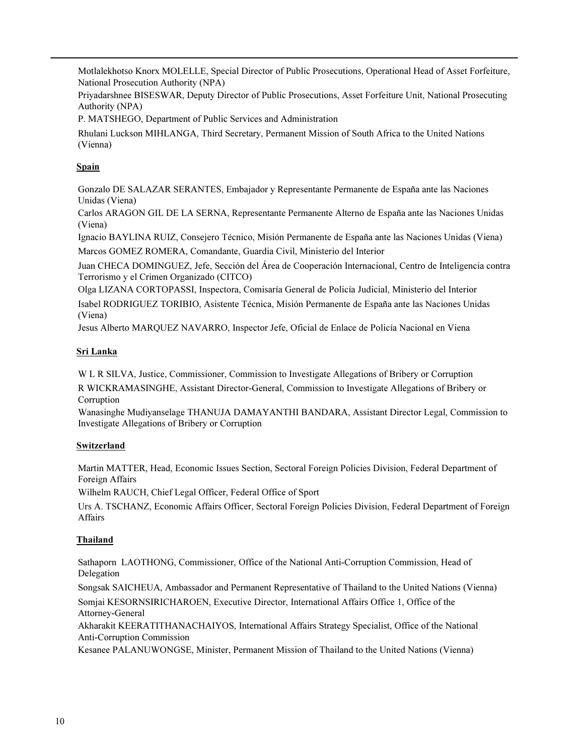Motlalekhotso Knorx MOLELLE, Special Director of Public Prosecutions, Operational Head of Asset Forfeiture, National Prosecution Authority (NPA)

Priyadarshnee BISESWAR, Deputy Director of Public Prosecutions, Asset Forfeiture Unit, National Prosecuting Authority (NPA)

P. MATSHEGO, Department of Public Services and Administration

Rhulani Luckson MIHLANGA, Third Secretary, Permanent Mission of South Africa to the United Nations (Vienna)

# **Spain**

Gonzalo DE SALAZAR SERANTES, Embajador y Representante Permanente de España ante las Naciones Unidas (Viena)

Carlos ARAGON GIL DE LA SERNA, Representante Permanente Alterno de España ante las Naciones Unidas (Viena)

Ignacio BAYLINA RUIZ, Consejero Técnico, Misión Permanente de España ante las Naciones Unidas (Viena)

Marcos GOMEZ ROMERA, Comandante, Guardia Civil, Ministerio del Interior

Juan CHECA DOMINGUEZ, Jefe, Sección del Área de Cooperación Internacional, Centro de Inteligencia contra Terrorismo y el Crimen Organizado (CITCO)

Olga LIZANA CORTOPASSI, Inspectora, Comisaría General de Policía Judicial, Ministerio del Interior Isabel RODRIGUEZ TORIBIO, Asistente Técnica, Misión Permanente de España ante las Naciones Unidas (Viena)

Jesus Alberto MARQUEZ NAVARRO, Inspector Jefe, Oficial de Enlace de Policía Nacional en Viena

# Sri Lanka

W L R SILVA, Justice, Commissioner, Commission to Investigate Allegations of Bribery or Corruption

R WICKRAMASINGHE, Assistant Director-General, Commission to Investigate Allegations of Bribery or Corruption

Wanasinghe Mudiyanselage THANUJA DAMAYANTHI BANDARA, Assistant Director Legal, Commission to Investigate Allegations of Bribery or Corruption

# **Switzerland**

Martin MATTER, Head, Economic Issues Section, Sectoral Foreign Policies Division, Federal Department of Foreign Affairs

Wilhelm RAUCH, Chief Legal Officer, Federal Office of Sport

Urs A. TSCHANZ, Economic Affairs Officer, Sectoral Foreign Policies Division, Federal Department of Foreign **Affairs** 

# **Thailand**

Sathaporn LAOTHONG, Commissioner, Office of the National Anti-Corruption Commission, Head of Delegation

Songsak SAICHEUA, Ambassador and Permanent Representative of Thailand to the United Nations (Vienna) Somjai KESORNSIRICHAROEN, Executive Director, International Affairs Office 1, Office of the

Attorney-General

Akharakit KEERATITHANACHAIYOS, International Affairs Strategy Specialist, Office of the National Anti-Corruption Commission

Kesanee PALANUWONGSE, Minister, Permanent Mission of Thailand to the United Nations (Vienna)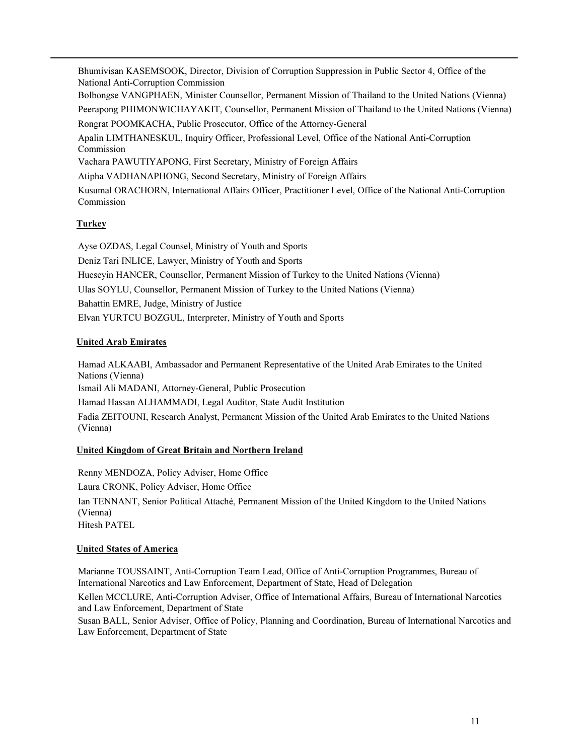Bhumivisan KASEMSOOK, Director, Division of Corruption Suppression in Public Sector 4, Office of the National Anti-Corruption Commission Bolbongse VANGPHAEN, Minister Counsellor, Permanent Mission of Thailand to the United Nations (Vienna) Peerapong PHIMONWICHAYAKIT, Counsellor, Permanent Mission of Thailand to the United Nations (Vienna) Rongrat POOMKACHA, Public Prosecutor, Office of the Attorney-General Apalin LIMTHANESKUL, Inquiry Officer, Professional Level, Office of the National Anti-Corruption Commission Vachara PAWUTIYAPONG, First Secretary, Ministry of Foreign Affairs Atipha VADHANAPHONG, Second Secretary, Ministry of Foreign Affairs Kusumal ORACHORN, International Affairs Officer, Practitioner Level, Office of the National Anti-Corruption Commission Turkey

# Ayse OZDAS, Legal Counsel, Ministry of Youth and Sports Deniz Tari INLICE, Lawyer, Ministry of Youth and Sports Hueseyin HANCER, Counsellor, Permanent Mission of Turkey to the United Nations (Vienna) Ulas SOYLU, Counsellor, Permanent Mission of Turkey to the United Nations (Vienna) Bahattin EMRE, Judge, Ministry of Justice Elvan YURTCU BOZGUL, Interpreter, Ministry of Youth and Sports

# United Arab Emirates

Hamad ALKAABI, Ambassador and Permanent Representative of the United Arab Emirates to the United Nations (Vienna) Ismail Ali MADANI, Attorney-General, Public Prosecution Hamad Hassan ALHAMMADI, Legal Auditor, State Audit Institution Fadia ZEITOUNI, Research Analyst, Permanent Mission of the United Arab Emirates to the United Nations (Vienna)

# United Kingdom of Great Britain and Northern Ireland

Renny MENDOZA, Policy Adviser, Home Office Laura CRONK, Policy Adviser, Home Office Ian TENNANT, Senior Political Attaché, Permanent Mission of the United Kingdom to the United Nations (Vienna) Hitesh PATEL

### United States of America

Marianne TOUSSAINT, Anti-Corruption Team Lead, Office of Anti-Corruption Programmes, Bureau of International Narcotics and Law Enforcement, Department of State, Head of Delegation

Kellen MCCLURE, Anti-Corruption Adviser, Office of International Affairs, Bureau of International Narcotics and Law Enforcement, Department of State

Susan BALL, Senior Adviser, Office of Policy, Planning and Coordination, Bureau of International Narcotics and Law Enforcement, Department of State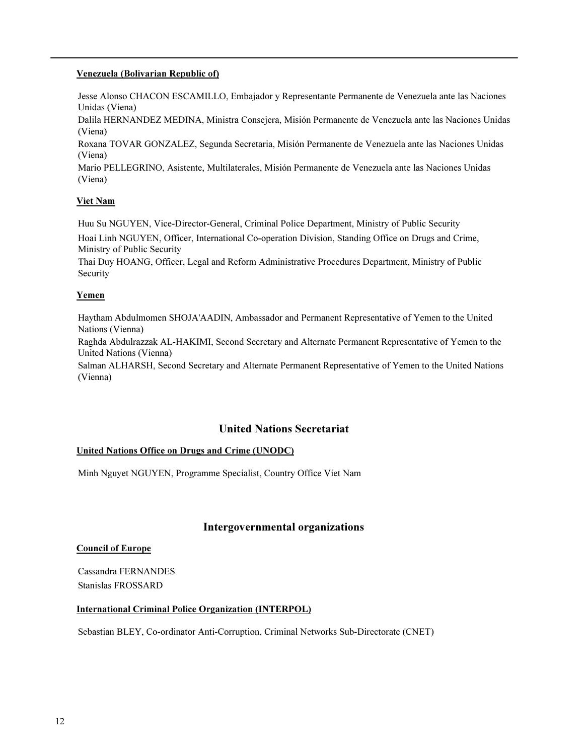### Venezuela (Bolivarian Republic of)

Jesse Alonso CHACON ESCAMILLO, Embajador y Representante Permanente de Venezuela ante las Naciones Unidas (Viena)

Dalila HERNANDEZ MEDINA, Ministra Consejera, Misión Permanente de Venezuela ante las Naciones Unidas (Viena)

Roxana TOVAR GONZALEZ, Segunda Secretaria, Misión Permanente de Venezuela ante las Naciones Unidas (Viena)

Mario PELLEGRINO, Asistente, Multilaterales, Misión Permanente de Venezuela ante las Naciones Unidas (Viena)

### Viet Nam

Huu Su NGUYEN, Vice-Director-General, Criminal Police Department, Ministry of Public Security Hoai Linh NGUYEN, Officer, International Co-operation Division, Standing Office on Drugs and Crime, Ministry of Public Security

Thai Duy HOANG, Officer, Legal and Reform Administrative Procedures Department, Ministry of Public Security

### Yemen

Haytham Abdulmomen SHOJA'AADIN, Ambassador and Permanent Representative of Yemen to the United Nations (Vienna)

Raghda Abdulrazzak AL-HAKIMI, Second Secretary and Alternate Permanent Representative of Yemen to the United Nations (Vienna)

Salman ALHARSH, Second Secretary and Alternate Permanent Representative of Yemen to the United Nations (Vienna)

# United Nations Secretariat

### United Nations Office on Drugs and Crime (UNODC)

Minh Nguyet NGUYEN, Programme Specialist, Country Office Viet Nam

# Intergovernmental organizations

#### Council of Europe

Cassandra FERNANDES Stanislas FROSSARD

#### International Criminal Police Organization (INTERPOL)

Sebastian BLEY, Co-ordinator Anti-Corruption, Criminal Networks Sub-Directorate (CNET)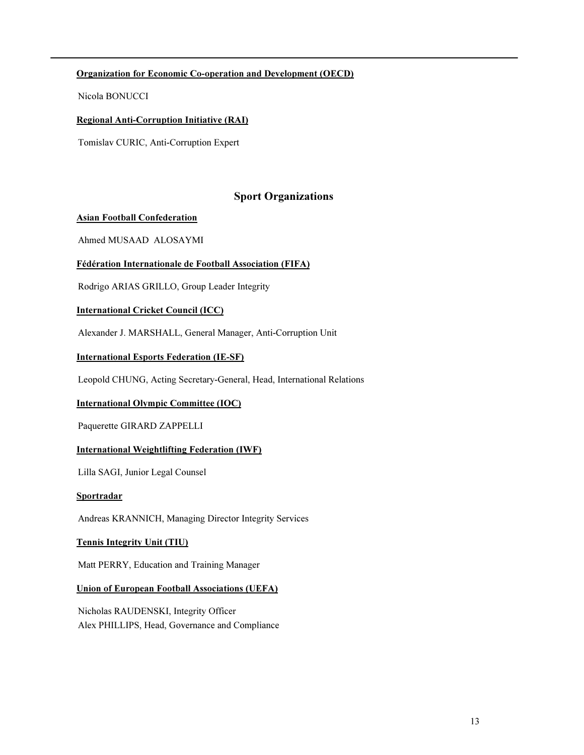# Organization for Economic Co-operation and Development (OECD)

Nicola BONUCCI

### Regional Anti-Corruption Initiative (RAI)

Tomislav CURIC, Anti-Corruption Expert

# Sport Organizations

### Asian Football Confederation

Ahmed MUSAAD ALOSAYMI

### Fédération Internationale de Football Association (FIFA)

Rodrigo ARIAS GRILLO, Group Leader Integrity

#### International Cricket Council (ICC)

Alexander J. MARSHALL, General Manager, Anti-Corruption Unit

#### International Esports Federation (IE-SF)

Leopold CHUNG, Acting Secretary-General, Head, International Relations

### International Olympic Committee (IOC)

Paquerette GIRARD ZAPPELLI

### International Weightlifting Federation (IWF)

Lilla SAGI, Junior Legal Counsel

#### **Sportradar**

Andreas KRANNICH, Managing Director Integrity Services

### Tennis Integrity Unit (TIU)

Matt PERRY, Education and Training Manager

#### Union of European Football Associations (UEFA)

Nicholas RAUDENSKI, Integrity Officer Alex PHILLIPS, Head, Governance and Compliance